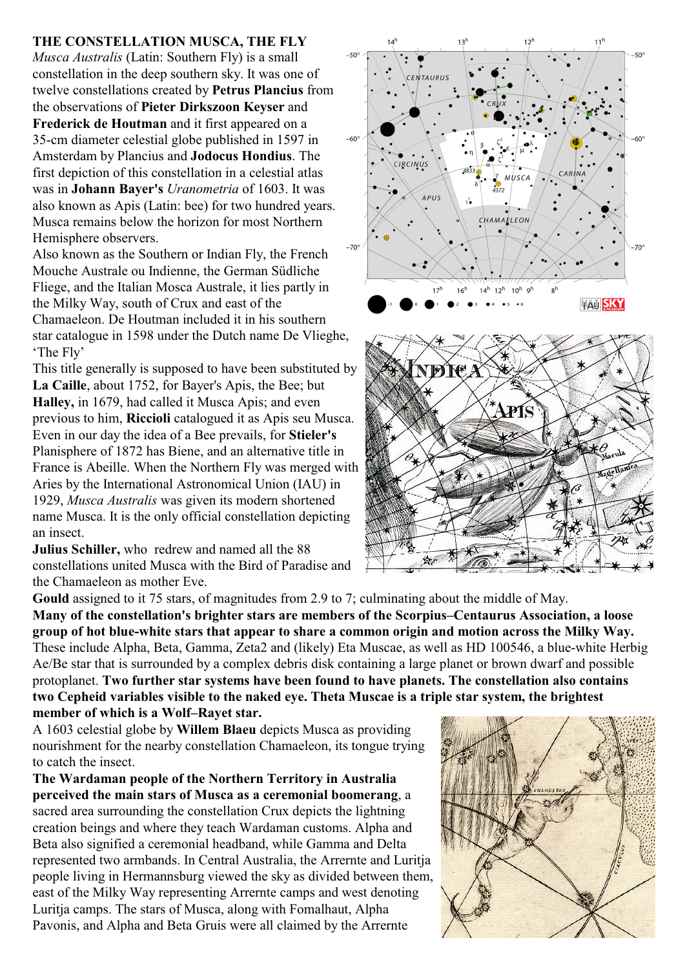## **THE CONSTELLATION MUSCA, THE FLY**

*Musca Australis* (Latin: Southern Fly) is a small constellation in the deep southern sky. It was one of twelve constellations created by **Petrus Plancius** from the observations of **Pieter Dirkszoon Keyser** and **Frederick de Houtman** and it first appeared on a 35-cm diameter celestial globe published in 1597 in Amsterdam by Plancius and **Jodocus Hondius**. The first depiction of this constellation in a celestial atlas was in **Johann Bayer's** *Uranometria* of 1603. It was also known as Apis (Latin: bee) for two hundred years. Musca remains below the horizon for most Northern Hemisphere observers.

Also known as the Southern or Indian Fly, the French Mouche Australe ou Indienne, the German Südliche Fliege, and the Italian Mosca Australe, it lies partly in the Milky Way, south of Crux and east of the Chamaeleon. De Houtman included it in his southern star catalogue in 1598 under the Dutch name De Vlieghe, 'The Fly'

This title generally is supposed to have been substituted by **La Caille**, about 1752, for Bayer's Apis, the Bee; but **Halley,** in 1679, had called it Musca Apis; and even previous to him, **Riccioli** catalogued it as Apis seu Musca. Even in our day the idea of a Bee prevails, for **Stieler's** Planisphere of 1872 has Biene, and an alternative title in France is Abeille. When the Northern Fly was merged with Aries by the International Astronomical Union (IAU) in 1929, *Musca Australis* was given its modern shortened name Musca. It is the only official constellation depicting an insect.

**Julius Schiller,** who redrew and named all the 88 constellations united Musca with the Bird of Paradise and the Chamaeleon as mother Eve.





**Gould** assigned to it 75 stars, of magnitudes from 2.9 to 7; culminating about the middle of May. **Many of the constellation's brighter stars are members of the Scorpius–Centaurus Association, a loose group of hot blue-white stars that appear to share a common origin and motion across the Milky Way.** These include Alpha, Beta, Gamma, Zeta2 and (likely) Eta Muscae, as well as HD 100546, a blue-white Herbig Ae/Be star that is surrounded by a complex debris disk containing a large planet or brown dwarf and possible protoplanet. **Two further star systems have been found to have planets. The constellation also contains two Cepheid variables visible to the naked eye. Theta Muscae is a triple star system, the brightest member of which is a Wolf–Rayet star.**

A 1603 celestial globe by **Willem Blaeu** depicts Musca as providing nourishment for the nearby constellation Chamaeleon, its tongue trying to catch the insect.

**The Wardaman people of the Northern Territory in Australia perceived the main stars of Musca as a ceremonial boomerang**, a sacred area surrounding the constellation Crux depicts the lightning creation beings and where they teach Wardaman customs. Alpha and Beta also signified a ceremonial headband, while Gamma and Delta represented two armbands. In Central Australia, the Arrernte and Luritja people living in Hermannsburg viewed the sky as divided between them, east of the Milky Way representing Arrernte camps and west denoting Luritja camps. The stars of Musca, along with Fomalhaut, Alpha Pavonis, and Alpha and Beta Gruis were all claimed by the Arrernte